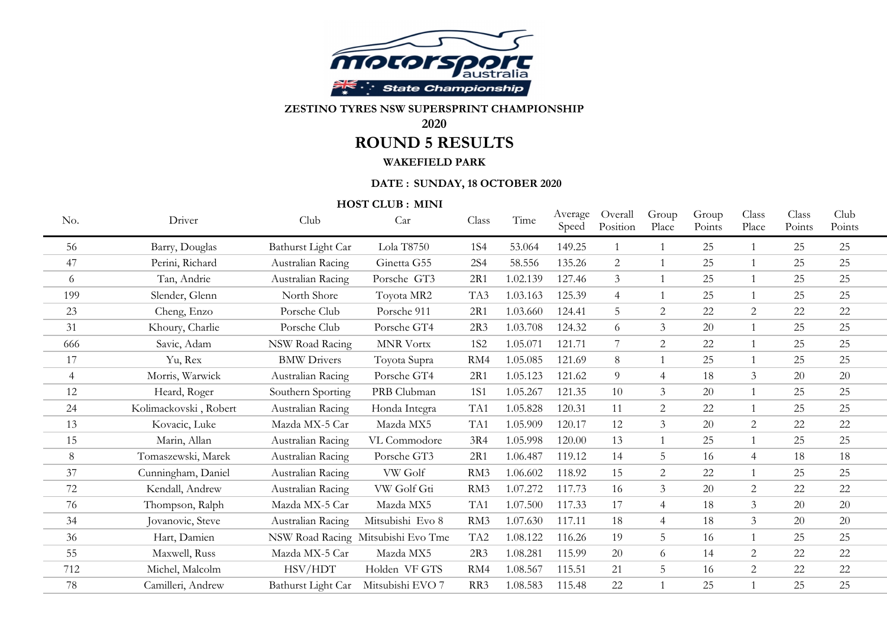

## **ZESTINO TYRES NSW SUPERSPRINT CHAMPIONSHIP**

## **2020**

# **ROUND 5 RESULTS**

## **WAKEFIELD PARK**

#### **DATE : SUNDAY, 18 OCTOBER 2020**

**HOST CLUB : MINI**

| No.            | Driver                | Club                   | Car                                | Class           | Time     | Average<br>Speed | Overall<br>Position | Group<br>Place | Group<br>Points | Class<br>Place | Class<br>Points | Club<br>Points |  |
|----------------|-----------------------|------------------------|------------------------------------|-----------------|----------|------------------|---------------------|----------------|-----------------|----------------|-----------------|----------------|--|
| 56             | Barry, Douglas        | Bathurst Light Car     | Lola T8750                         | <b>1S4</b>      | 53.064   | 149.25           |                     |                | 25              |                | 25              | 25             |  |
| 47             | Perini, Richard       | Australian Racing      | Ginetta G55                        | <b>2S4</b>      | 58.556   | 135.26           | 2                   | $\mathbf{1}$   | 25              |                | 25              | 25             |  |
| 6              | Tan, Andrie           | Australian Racing      | Porsche GT3                        | 2R1             | 1.02.139 | 127.46           | $\mathfrak{Z}$      | $\mathbf{1}$   | 25              |                | 25              | 25             |  |
| 199            | Slender, Glenn        | North Shore            | Toyota MR2                         | TA3             | 1.03.163 | 125.39           | $\overline{4}$      | $\mathbf{1}$   | 25              |                | 25              | 25             |  |
| 23             | Cheng, Enzo           | Porsche Club           | Porsche 911                        | 2R1             | 1.03.660 | 124.41           | 5                   | $\overline{2}$ | 22              | $\overline{2}$ | 22              | 22             |  |
| 31             | Khoury, Charlie       | Porsche Club           | Porsche GT4                        | 2R3             | 1.03.708 | 124.32           | 6                   | $\mathfrak{Z}$ | 20              |                | 25              | 25             |  |
| 666            | Savic, Adam           | <b>NSW Road Racing</b> | <b>MNR Vortx</b>                   | <b>1S2</b>      | 1.05.071 | 121.71           | 7                   | $\overline{2}$ | 22              |                | 25              | 25             |  |
| 17             | Yu, Rex               | <b>BMW Drivers</b>     | Toyota Supra                       | RM4             | 1.05.085 | 121.69           | 8                   | 1              | 25              |                | 25              | 25             |  |
| $\overline{4}$ | Morris, Warwick       | Australian Racing      | Porsche GT4                        | 2R1             | 1.05.123 | 121.62           | 9                   | $\overline{4}$ | 18              | 3              | 20              | 20             |  |
| 12             | Heard, Roger          | Southern Sporting      | PRB Clubman                        | <b>1S1</b>      | 1.05.267 | 121.35           | 10                  | $\overline{3}$ | 20              |                | 25              | 25             |  |
| 24             | Kolimackovski, Robert | Australian Racing      | Honda Integra                      | TA1             | 1.05.828 | 120.31           | 11                  | 2              | 22              |                | 25              | 25             |  |
| 13             | Kovacic, Luke         | Mazda MX-5 Car         | Mazda MX5                          | TA1             | 1.05.909 | 120.17           | 12                  | $\mathfrak{Z}$ | 20              | $\overline{2}$ | $22\,$          | 22             |  |
| 15             | Marin, Allan          | Australian Racing      | VL Commodore                       | 3R4             | 1.05.998 | 120.00           | 13                  | $\mathbf{1}$   | 25              |                | 25              | 25             |  |
| 8              | Tomaszewski, Marek    | Australian Racing      | Porsche GT3                        | 2R1             | 1.06.487 | 119.12           | 14                  | 5              | 16              | $\overline{4}$ | 18              | 18             |  |
| 37             | Cunningham, Daniel    | Australian Racing      | VW Golf                            | RM3             | 1.06.602 | 118.92           | 15                  | $\overline{2}$ | 22              |                | 25              | 25             |  |
| 72             | Kendall, Andrew       | Australian Racing      | VW Golf Gti                        | RM3             | 1.07.272 | 117.73           | 16                  | 3              | 20              | 2              | 22              | 22             |  |
| 76             | Thompson, Ralph       | Mazda MX-5 Car         | Mazda MX5                          | TA1             | 1.07.500 | 117.33           | 17                  | $\overline{4}$ | 18              | $\overline{3}$ | 20              | 20             |  |
| 34             | Jovanovic, Steve      | Australian Racing      | Mitsubishi Evo 8                   | RM3             | 1.07.630 | 117.11           | 18                  | $\overline{4}$ | 18              | 3              | 20              | 20             |  |
| 36             | Hart, Damien          |                        | NSW Road Racing Mitsubishi Evo Tme | TA <sub>2</sub> | 1.08.122 | 116.26           | 19                  | 5              | 16              |                | 25              | 25             |  |
| 55             | Maxwell, Russ         | Mazda MX-5 Car         | Mazda MX5                          | 2R3             | 1.08.281 | 115.99           | 20                  | 6              | 14              | $\overline{2}$ | 22              | 22             |  |
| 712            | Michel, Malcolm       | HSV/HDT                | Holden VF GTS                      | RM4             | 1.08.567 | 115.51           | 21                  | 5 <sup>5</sup> | 16              | $\overline{2}$ | $22\,$          | 22             |  |
| 78             | Camilleri, Andrew     | Bathurst Light Car     | Mitsubishi EVO 7                   | RR <sub>3</sub> | 1.08.583 | 115.48           | 22                  | 1              | 25              |                | 25              | 25             |  |